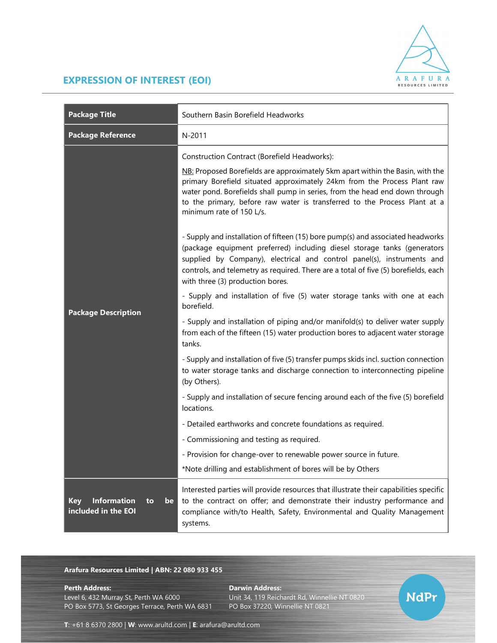

## EXPRESSION OF INTEREST (EOI)

| <b>Package Title</b>                                                | Southern Basin Borefield Headworks                                                                                                                                                                                                                                                                                                                                                                                                                                                                                                                                                                                                                                                                                                 |
|---------------------------------------------------------------------|------------------------------------------------------------------------------------------------------------------------------------------------------------------------------------------------------------------------------------------------------------------------------------------------------------------------------------------------------------------------------------------------------------------------------------------------------------------------------------------------------------------------------------------------------------------------------------------------------------------------------------------------------------------------------------------------------------------------------------|
| <b>Package Reference</b>                                            | N-2011                                                                                                                                                                                                                                                                                                                                                                                                                                                                                                                                                                                                                                                                                                                             |
| <b>Package Description</b>                                          | Construction Contract (Borefield Headworks):<br>NB: Proposed Borefields are approximately 5km apart within the Basin, with the<br>primary Borefield situated approximately 24km from the Process Plant raw<br>water pond. Borefields shall pump in series, from the head end down through<br>to the primary, before raw water is transferred to the Process Plant at a<br>minimum rate of 150 L/s.<br>- Supply and installation of fifteen (15) bore pump(s) and associated headworks<br>(package equipment preferred) including diesel storage tanks (generators<br>supplied by Company), electrical and control panel(s), instruments and<br>controls, and telemetry as required. There are a total of five (5) borefields, each |
|                                                                     | with three (3) production bores.<br>- Supply and installation of five (5) water storage tanks with one at each<br>borefield.<br>- Supply and installation of piping and/or manifold(s) to deliver water supply<br>from each of the fifteen (15) water production bores to adjacent water storage                                                                                                                                                                                                                                                                                                                                                                                                                                   |
|                                                                     | tanks.<br>- Supply and installation of five (5) transfer pumps skids incl. suction connection<br>to water storage tanks and discharge connection to interconnecting pipeline<br>(by Others).                                                                                                                                                                                                                                                                                                                                                                                                                                                                                                                                       |
|                                                                     | - Supply and installation of secure fencing around each of the five (5) borefield<br>locations.                                                                                                                                                                                                                                                                                                                                                                                                                                                                                                                                                                                                                                    |
|                                                                     | - Detailed earthworks and concrete foundations as required.                                                                                                                                                                                                                                                                                                                                                                                                                                                                                                                                                                                                                                                                        |
|                                                                     | - Commissioning and testing as required.                                                                                                                                                                                                                                                                                                                                                                                                                                                                                                                                                                                                                                                                                           |
|                                                                     | - Provision for change-over to renewable power source in future.                                                                                                                                                                                                                                                                                                                                                                                                                                                                                                                                                                                                                                                                   |
|                                                                     | *Note drilling and establishment of bores will be by Others                                                                                                                                                                                                                                                                                                                                                                                                                                                                                                                                                                                                                                                                        |
| <b>Information</b><br><b>Key</b><br>be<br>to<br>included in the EOI | Interested parties will provide resources that illustrate their capabilities specific<br>to the contract on offer; and demonstrate their industry performance and<br>compliance with/to Health, Safety, Environmental and Quality Management<br>systems.                                                                                                                                                                                                                                                                                                                                                                                                                                                                           |

## Arafura Resources Limited | ABN: 22 080 933 455

Level 6, 432 Murray St, Perth WA 6000 Unit 34, 119 Reichardt Rd, Winnellie NT 0820 PO Box 5773, St Georges Terrace, Perth WA 6831

Perth Address: Darwin Address:

**NdPr** 

T: +61 8 6370 2800 | W: www.arultd.com | E: arafura@arultd.com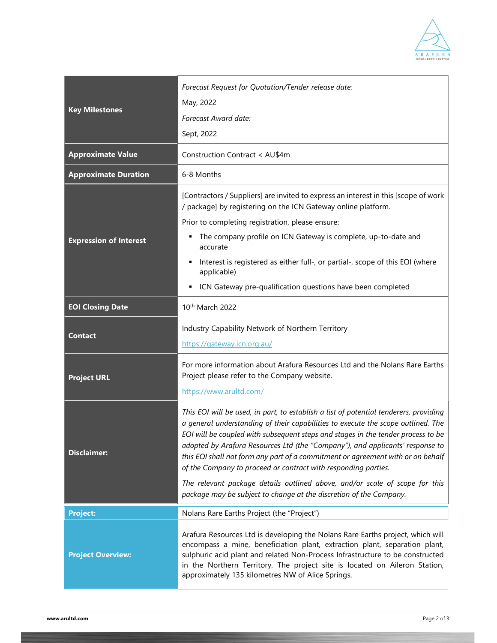

| <b>Key Milestones</b>         | Forecast Request for Quotation/Tender release date:<br>May, 2022<br>Forecast Award date:<br>Sept, 2022                                                                                                                                                                                                                                                                                                                                                                                                                                                                                                                                                   |
|-------------------------------|----------------------------------------------------------------------------------------------------------------------------------------------------------------------------------------------------------------------------------------------------------------------------------------------------------------------------------------------------------------------------------------------------------------------------------------------------------------------------------------------------------------------------------------------------------------------------------------------------------------------------------------------------------|
| <b>Approximate Value</b>      | Construction Contract < AU\$4m                                                                                                                                                                                                                                                                                                                                                                                                                                                                                                                                                                                                                           |
| <b>Approximate Duration</b>   | 6-8 Months                                                                                                                                                                                                                                                                                                                                                                                                                                                                                                                                                                                                                                               |
| <b>Expression of Interest</b> | [Contractors / Suppliers] are invited to express an interest in this [scope of work<br>/ package] by registering on the ICN Gateway online platform.<br>Prior to completing registration, please ensure:<br>The company profile on ICN Gateway is complete, up-to-date and<br>٠<br>accurate<br>Interest is registered as either full-, or partial-, scope of this EOI (where<br>p<br>applicable)<br>ICN Gateway pre-qualification questions have been completed                                                                                                                                                                                          |
| <b>EOI Closing Date</b>       | 10th March 2022                                                                                                                                                                                                                                                                                                                                                                                                                                                                                                                                                                                                                                          |
| <b>Contact</b>                | Industry Capability Network of Northern Territory<br>https://gateway.icn.org.au/                                                                                                                                                                                                                                                                                                                                                                                                                                                                                                                                                                         |
| <b>Project URL</b>            | For more information about Arafura Resources Ltd and the Nolans Rare Earths<br>Project please refer to the Company website.<br>https://www.arultd.com/                                                                                                                                                                                                                                                                                                                                                                                                                                                                                                   |
| <b>Disclaimer:</b>            | This EOI will be used, in part, to establish a list of potential tenderers, providing<br>a general understanding of their capabilities to execute the scope outlined. The<br>EOI will be coupled with subsequent steps and stages in the tender process to be<br>adopted by Arafura Resources Ltd (the "Company"), and applicants' response to<br>this EOI shall not form any part of a commitment or agreement with or on behalf<br>of the Company to proceed or contract with responding parties.<br>The relevant package details outlined above, and/or scale of scope for this<br>package may be subject to change at the discretion of the Company. |
| <b>Project:</b>               | Nolans Rare Earths Project (the "Project")                                                                                                                                                                                                                                                                                                                                                                                                                                                                                                                                                                                                               |
| <b>Project Overview:</b>      | Arafura Resources Ltd is developing the Nolans Rare Earths project, which will<br>encompass a mine, beneficiation plant, extraction plant, separation plant,<br>sulphuric acid plant and related Non-Process Infrastructure to be constructed<br>in the Northern Territory. The project site is located on Aileron Station,<br>approximately 135 kilometres NW of Alice Springs.                                                                                                                                                                                                                                                                         |